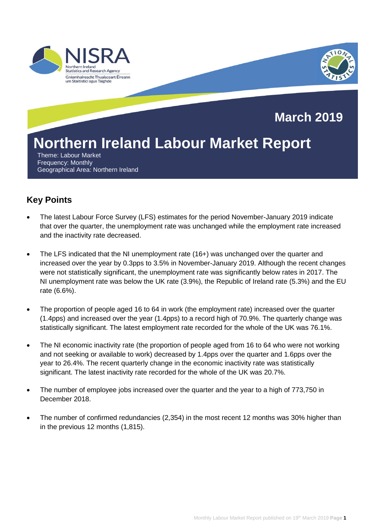

# **Key Points**

- The latest Labour Force Survey (LFS) estimates for the period November-January 2019 indicate that over the quarter, the unemployment rate was unchanged while the employment rate increased and the inactivity rate decreased.
- The LFS indicated that the NI unemployment rate (16+) was unchanged over the quarter and increased over the year by 0.3pps to 3.5% in November-January 2019. Although the recent changes were not statistically significant, the unemployment rate was significantly below rates in 2017. The NI unemployment rate was below the UK rate (3.9%), the Republic of Ireland rate (5.3%) and the EU rate (6.6%).
- The proportion of people aged 16 to 64 in work (the employment rate) increased over the quarter (1.4pps) and increased over the year (1.4pps) to a record high of 70.9%. The quarterly change was statistically significant. The latest employment rate recorded for the whole of the UK was 76.1%.
- The NI economic inactivity rate (the proportion of people aged from 16 to 64 who were not working and not seeking or available to work) decreased by 1.4pps over the quarter and 1.6pps over the year to 26.4%. The recent quarterly change in the economic inactivity rate was statistically significant. The latest inactivity rate recorded for the whole of the UK was 20.7%.
- The number of employee jobs increased over the quarter and the year to a high of 773,750 in December 2018.
- The number of confirmed redundancies (2,354) in the most recent 12 months was 30% higher than in the previous 12 months (1,815).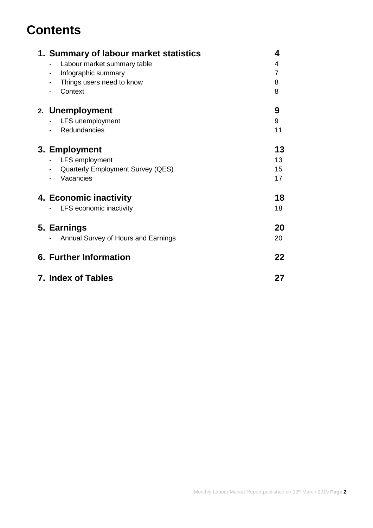# **Contents**

| 1. Summary of labour market statistics<br>4     |    |  |  |  |
|-------------------------------------------------|----|--|--|--|
| Labour market summary table                     | 4  |  |  |  |
| Infographic summary<br>$\overline{\phantom{a}}$ | 7  |  |  |  |
| Things users need to know                       | 8  |  |  |  |
| Context                                         | 8  |  |  |  |
| 2. Unemployment                                 | 9  |  |  |  |
| LFS unemployment                                | 9  |  |  |  |
| Redundancies                                    | 11 |  |  |  |
| 13<br>3. Employment                             |    |  |  |  |
| LFS employment                                  | 13 |  |  |  |
| <b>Quarterly Employment Survey (QES)</b>        | 15 |  |  |  |
| Vacancies                                       | 17 |  |  |  |
| 4. Economic inactivity                          | 18 |  |  |  |
| LFS economic inactivity                         | 18 |  |  |  |
| 5. Earnings                                     | 20 |  |  |  |
| Annual Survey of Hours and Earnings             | 20 |  |  |  |
| 6. Further Information                          | 22 |  |  |  |
|                                                 |    |  |  |  |
| 7. Index of Tables                              | 27 |  |  |  |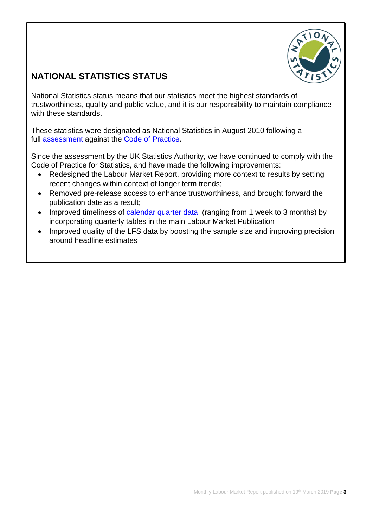

# **NATIONAL STATISTICS STATUS**

National Statistics status means that our statistics meet the highest standards of trustworthiness, quality and public value, and it is our responsibility to maintain compliance with these standards.

These statistics were designated as National Statistics in August 2010 following a full **assessment** against the **Code of Practice**.

Since the assessment by the UK Statistics Authority, we have continued to comply with the Code of Practice for Statistics, and have made the following improvements:

- Redesigned the Labour Market Report, providing more context to results by setting recent changes within context of longer term trends;
- Removed pre-release access to enhance trustworthiness, and brought forward the publication date as a result;
- Improved timeliness of [calendar quarter data](https://www.nisra.gov.uk/publications/quarterly-labour-force-survey-tables-february-2019) (ranging from 1 week to 3 months) by incorporating quarterly tables in the main Labour Market Publication
- Improved quality of the LFS data by boosting the sample size and improving precision around headline estimates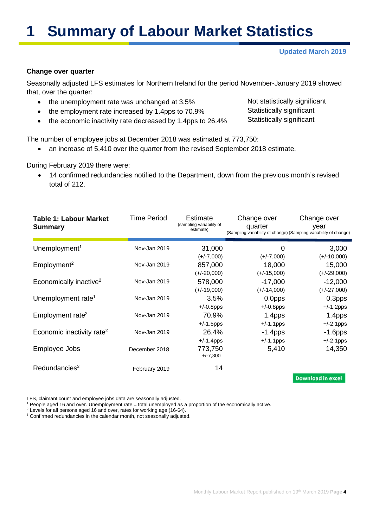# **1 Summary of Labour Market Statistics**

#### **Updated March 2019**

#### **Change over quarter**

Seasonally adjusted LFS estimates for Northern Ireland for the period November-January 2019 showed that, over the quarter:

- the unemployment rate was unchanged at 3.5%
- the employment rate increased by 1.4pps to 70.9%
- the economic inactivity rate decreased by 1.4pps to 26.4%

Not statistically significant Statistically significant Statistically significant

The number of employee jobs at December 2018 was estimated at 773,750:

• an increase of 5,410 over the quarter from the revised September 2018 estimate.

During February 2019 there were:

• 14 confirmed redundancies notified to the Department, down from the previous month's revised total of 212.

| <b>Table 1: Labour Market</b><br><b>Summary</b> | Time Period   | Estimate<br>(sampling variability of<br>estimate) | Change over<br>quarter<br>(Sampling variability of change) (Sampling variability of change) | Change over<br>year                 |
|-------------------------------------------------|---------------|---------------------------------------------------|---------------------------------------------------------------------------------------------|-------------------------------------|
| Unemployment <sup>1</sup>                       | Nov-Jan 2019  | 31,000                                            | 0                                                                                           | 3,000                               |
| Employment <sup>2</sup>                         | Nov-Jan 2019  | $(+/-7,000)$<br>857,000                           | $(+/-7,000)$<br>18,000                                                                      | $(+/-10,000)$<br>15,000             |
| Economically inactive <sup>2</sup>              | Nov-Jan 2019  | $(+/-20,000)$<br>578,000                          | $(+/-15,000)$<br>$-17,000$                                                                  | $(+/-29,000)$<br>$-12,000$          |
| Unemployment rate <sup>1</sup>                  | Nov-Jan 2019  | $(+/-19,000)$<br>3.5%                             | $(+/-14,000)$<br>0.0pps                                                                     | $(+/-27,000)$<br>0.3 <sub>pps</sub> |
|                                                 |               | $+/-0.8$ pps                                      | $+/-0.8$ pps                                                                                | $+/-1.2$ pps                        |
| Employment rate <sup>2</sup>                    | Nov-Jan 2019  | 70.9%<br>$+/-1.5$ pps                             | 1.4pps<br>$+/-1.1$ pps                                                                      | 1.4pps<br>$+/-2.1$ pps              |
| Economic inactivity rate <sup>2</sup>           | Nov-Jan 2019  | 26.4%<br>$+/-1.4$ pps                             | $-1.4$ pps<br>$+/-1.1$ pps                                                                  | $-1.6$ pps<br>$+/-2.1$ pps          |
| Employee Jobs                                   | December 2018 | 773,750<br>$+/-7,300$                             | 5,410                                                                                       | 14,350                              |
| Redundancies <sup>3</sup>                       | February 2019 | 14                                                |                                                                                             | <b>Download in excel</b>            |

LFS, claimant count and employee jobs data are seasonally adjusted.

<sup>1</sup> People aged 16 and over. Unemployment rate = total unemployed as a proportion of the economically active.

<sup>2</sup> Levels for all persons aged 16 and over, rates for working age (16-64). <sup>3</sup> Confirmed redundancies in the calendar month, not seasonally adjusted.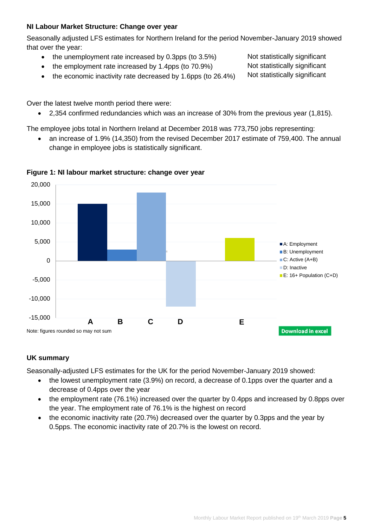# **NI Labour Market Structure: Change over year**

Seasonally adjusted LFS estimates for Northern Ireland for the period November-January 2019 showed that over the year:

- the unemployment rate increased by 0.3pps (to 3.5%)
- the employment rate increased by 1.4pps (to 70.9%)
- the economic inactivity rate decreased by 1.6pps (to 26.4%)

Over the latest twelve month period there were:

• 2,354 confirmed redundancies which was an increase of 30% from the previous year (1,815).

The employee jobs total in Northern Ireland at December 2018 was 773,750 jobs representing:

• an increase of 1.9% (14,350) from the revised December 2017 estimate of 759,400. The annual change in employee jobs is statistically significant.



# **Figure 1: NI labour market structure: change over year**

# **UK summary**

Seasonally-adjusted LFS estimates for the UK for the period November-January 2019 showed:

- the lowest unemployment rate (3.9%) on record, a decrease of 0.1pps over the quarter and a decrease of 0.4pps over the year
- the employment rate (76.1%) increased over the quarter by 0.4pps and increased by 0.8pps over the year. The employment rate of 76.1% is the highest on record
- the economic inactivity rate (20.7%) decreased over the quarter by 0.3pps and the year by 0.5pps. The economic inactivity rate of 20.7% is the lowest on record.

Not statistically significant Not statistically significant

Not statistically significant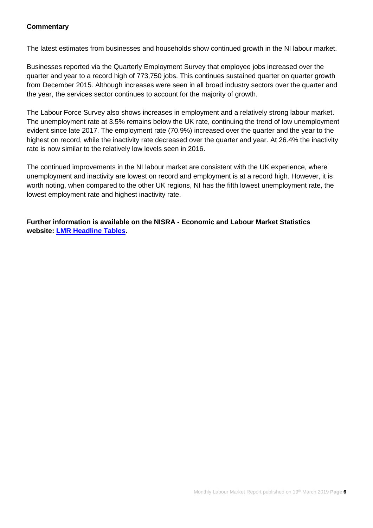#### **Commentary**

The latest estimates from businesses and households show continued growth in the NI labour market.

Businesses reported via the Quarterly Employment Survey that employee jobs increased over the quarter and year to a record high of 773,750 jobs. This continues sustained quarter on quarter growth from December 2015. Although increases were seen in all broad industry sectors over the quarter and the year, the services sector continues to account for the majority of growth.

The Labour Force Survey also shows increases in employment and a relatively strong labour market. The unemployment rate at 3.5% remains below the UK rate, continuing the trend of low unemployment evident since late 2017. The employment rate (70.9%) increased over the quarter and the year to the highest on record, while the inactivity rate decreased over the quarter and year. At 26.4% the inactivity rate is now similar to the relatively low levels seen in 2016.

The continued improvements in the NI labour market are consistent with the UK experience, where unemployment and inactivity are lowest on record and employment is at a record high. However, it is worth noting, when compared to the other UK regions, NI has the fifth lowest unemployment rate, the lowest employment rate and highest inactivity rate.

**Further information is available on the NISRA - Economic and Labour Market Statistics website: [LMR Headline Tables.](https://www.nisra.gov.uk/system/files/statistics/headline-lmr-tables-march-2019.XLSX)**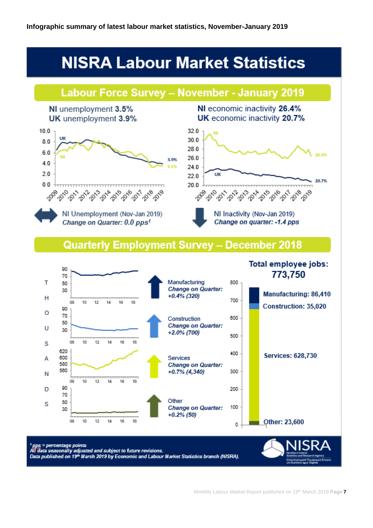# **NISRA Labour Market Statistics**



Monthly Labour Market Report published on 19th March 2019 **Page 7**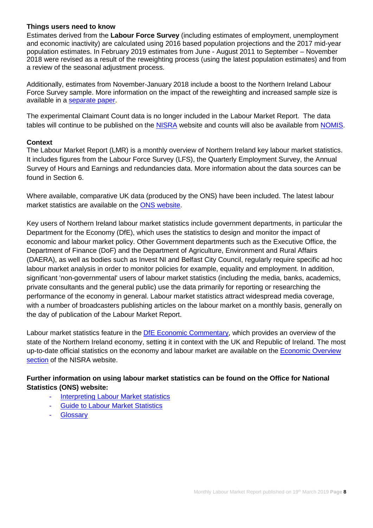#### **Things users need to know**

Estimates derived from the **Labour Force Survey** (including estimates of employment, unemployment and economic inactivity) are calculated using 2016 based population projections and the 2017 mid-year population estimates. In February 2019 estimates from June - August 2011 to September – November 2018 were revised as a result of the reweighting process (using the latest population estimates) and from a review of the seasonal adjustment process.

Additionally, estimates from November-January 2018 include a boost to the Northern Ireland Labour Force Survey sample. More information on the impact of the reweighting and increased sample size is available in a [separate paper.](https://www.nisra.gov.uk/publications/labour-force-survey-background-information)

The experimental Claimant Count data is no longer included in the Labour Market Report. The data tables will continue to be published on the [NISRA](https://www.nisra.gov.uk/statistics/labour-market-and-social-welfare/claimant-count) website and counts will also be available from [NOMIS.](https://www.nomisweb.co.uk/)

#### **Context**

The Labour Market Report (LMR) is a monthly overview of Northern Ireland key labour market statistics. It includes figures from the Labour Force Survey (LFS), the Quarterly Employment Survey, the Annual Survey of Hours and Earnings and redundancies data. More information about the data sources can be found in Section 6.

Where available, comparative UK data (produced by the ONS) have been included. The latest labour market statistics are available on the [ONS website.](http://www.ons.gov.uk/ons/taxonomy/index.html?nscl=Labour+Market)

Key users of Northern Ireland labour market statistics include government departments, in particular the Department for the Economy (DfE), which uses the statistics to design and monitor the impact of economic and labour market policy. Other Government departments such as the Executive Office, the Department of Finance (DoF) and the Department of Agriculture, Environment and Rural Affairs (DAERA), as well as bodies such as Invest NI and Belfast City Council, regularly require specific ad hoc labour market analysis in order to monitor policies for example, equality and employment. In addition, significant 'non-governmental' users of labour market statistics (including the media, banks, academics, private consultants and the general public) use the data primarily for reporting or researching the performance of the economy in general. Labour market statistics attract widespread media coverage, with a number of broadcasters publishing articles on the labour market on a monthly basis, generally on the day of publication of the Labour Market Report.

Labour market statistics feature in the [DfE Economic Commentary,](https://www.economy-ni.gov.uk/publications/dfe-economic-commentary) which provides an overview of the state of the Northern Ireland economy, setting it in context with the UK and Republic of Ireland. The most up-to-date official statistics on the economy and labour market are available on the **Economic Overview** [section](https://www.nisra.gov.uk/statistics/nisra-economic-and-labour-market-statistics-elms/economic-overview) of the NISRA website.

# **Further information on using labour market statistics can be found on the Office for National Statistics (ONS) website:**

- **[Interpreting Labour Market statistics](http://www.ons.gov.uk/ons/rel/lms/labour-market-guidance/interpreting-labour-market-statistics/interpreting-lm-statistics.html)**
- **[Guide to Labour Market Statistics](https://www.ons.gov.uk/employmentandlabourmarket/peopleinwork/employmentandemployeetypes/methodologies/aguidetolabourmarketstatistics)**
- **[Glossary](https://www.ons.gov.uk/employmentandlabourmarket/peopleinwork/employmentandemployeetypes/methodologies/aguidetolabourmarketstatistics#glossary)**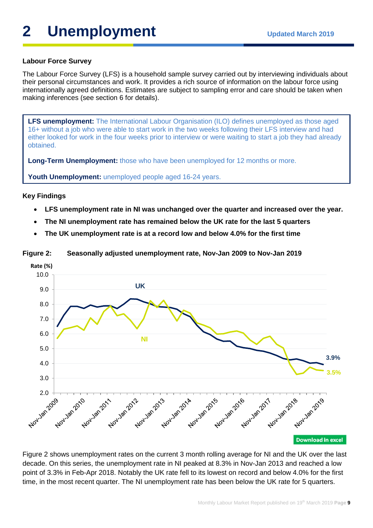# **2** Unemployment Updated March 2019

# **Labour Force Survey**

The Labour Force Survey (LFS) is a household sample survey carried out by interviewing individuals about their personal circumstances and work. It provides a rich source of information on the labour force using internationally agreed definitions. Estimates are subject to sampling error and care should be taken when making inferences (see section 6 for details).

**LFS unemployment:** The International Labour Organisation (ILO) defines unemployed as those aged 16+ without a job who were able to start work in the two weeks following their LFS interview and had either looked for work in the four weeks prior to interview or were waiting to start a job they had already obtained.

**Long-Term Unemployment:** those who have been unemployed for 12 months or more.

**Youth Unemployment:** unemployed people aged 16-24 years.

#### **Key Findings**

- **LFS unemployment rate in NI was unchanged over the quarter and increased over the year.**
- **The NI unemployment rate has remained below the UK rate for the last 5 quarters**
- **The UK unemployment rate is at a record low and below 4.0% for the first time**

**Figure 2: Seasonally adjusted unemployment rate, Nov-Jan 2009 to Nov-Jan 2019**



Figure 2 shows unemployment rates on the current 3 month rolling average for NI and the UK over the last decade. On this series, the unemployment rate in NI peaked at 8.3% in Nov-Jan 2013 and reached a low point of 3.3% in Feb-Apr 2018. Notably the UK rate fell to its lowest on record and below 4.0% for the first time, in the most recent quarter. The NI unemployment rate has been below the UK rate for 5 quarters.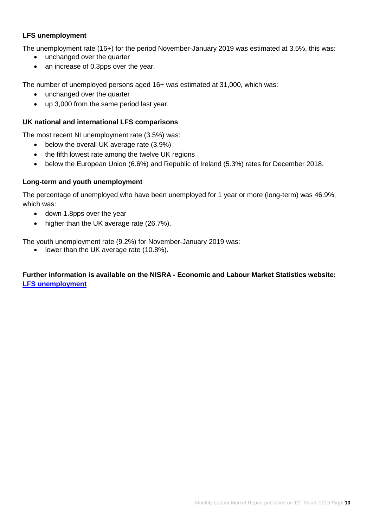# **LFS unemployment**

The unemployment rate (16+) for the period November-January 2019 was estimated at 3.5%, this was:

- unchanged over the quarter
- an increase of 0.3pps over the year.

The number of unemployed persons aged 16+ was estimated at 31,000, which was:

- unchanged over the quarter
- up 3,000 from the same period last year.

#### **UK national and international LFS comparisons**

The most recent NI unemployment rate (3.5%) was:

- below the overall UK average rate (3.9%)
- the fifth lowest rate among the twelve UK regions
- below the European Union (6.6%) and Republic of Ireland (5.3%) rates for December 2018.

#### **Long-term and youth unemployment**

The percentage of unemployed who have been unemployed for 1 year or more (long-term) was 46.9%, which was:

- down 1.8pps over the year
- higher than the UK average rate (26.7%).

The youth unemployment rate (9.2%) for November-January 2019 was:

• lower than the UK average rate (10.8%).

### **Further information is available on the NISRA - Economic and Labour Market Statistics website: [LFS unemployment](https://www.nisra.gov.uk/statistics/labour-market-and-social-welfare/labour-force-survey)**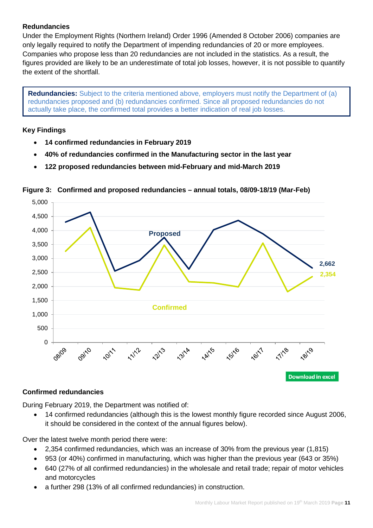# **Redundancies**

Under the Employment Rights (Northern Ireland) Order 1996 (Amended 8 October 2006) companies are only legally required to notify the Department of impending redundancies of 20 or more employees. Companies who propose less than 20 redundancies are not included in the statistics. As a result, the figures provided are likely to be an underestimate of total job losses, however, it is not possible to quantify the extent of the shortfall.

**Redundancies:** Subject to the criteria mentioned above, employers must notify the Department of (a) redundancies proposed and (b) redundancies confirmed. Since all proposed redundancies do not actually take place, the confirmed total provides a better indication of real job losses.

# **Key Findings**

- **14 confirmed redundancies in February 2019**
- **40% of redundancies confirmed in the Manufacturing sector in the last year**
- **122 proposed redundancies between mid-February and mid-March 2019**



# **Figure 3: Confirmed and proposed redundancies – annual totals, 08/09-18/19 (Mar-Feb)**

# **Confirmed redundancies**

During February 2019, the Department was notified of:

• 14 confirmed redundancies (although this is the lowest monthly figure recorded since August 2006, it should be considered in the context of the annual figures below).

Over the latest twelve month period there were:

- 2,354 confirmed redundancies, which was an increase of 30% from the previous year (1,815)
- 953 (or 40%) confirmed in manufacturing, which was higher than the previous year (643 or 35%)
- 640 (27% of all confirmed redundancies) in the wholesale and retail trade; repair of motor vehicles and motorcycles
- a further 298 (13% of all confirmed redundancies) in construction.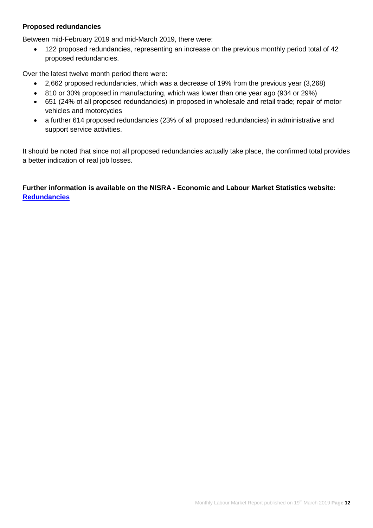#### **Proposed redundancies**

Between mid-February 2019 and mid-March 2019, there were:

• 122 proposed redundancies, representing an increase on the previous monthly period total of 42 proposed redundancies.

Over the latest twelve month period there were:

- 2,662 proposed redundancies, which was a decrease of 19% from the previous year (3,268)
- 810 or 30% proposed in manufacturing, which was lower than one year ago (934 or 29%)
- 651 (24% of all proposed redundancies) in proposed in wholesale and retail trade; repair of motor vehicles and motorcycles
- a further 614 proposed redundancies (23% of all proposed redundancies) in administrative and support service activities.

It should be noted that since not all proposed redundancies actually take place, the confirmed total provides a better indication of real job losses.

**Further information is available on the NISRA - Economic and Labour Market Statistics website: [Redundancies](https://www.nisra.gov.uk/statistics/labour-market-and-social-welfare/redundancies)**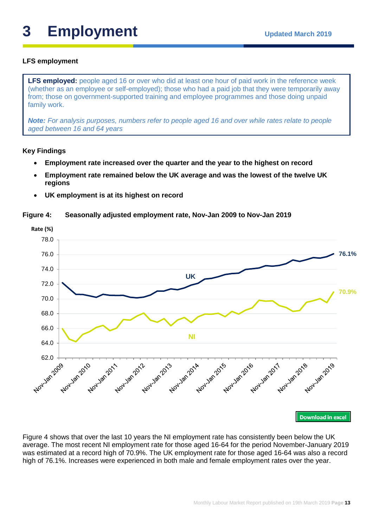# **3** Employment Updated March 2019

# **LFS employment**

**LFS employed:** people aged 16 or over who did at least one hour of paid work in the reference week (whether as an employee or self-employed); those who had a paid job that they were temporarily away from; those on government-supported training and employee programmes and those doing unpaid family work.

*Note: For analysis purposes, numbers refer to people aged 16 and over while rates relate to people aged between 16 and 64 years*

### **Key Findings**

- **Employment rate increased over the quarter and the year to the highest on record**
- **Employment rate remained below the UK average and was the lowest of the twelve UK regions**
- **UK employment is at its highest on record**

#### **Figure 4: Seasonally adjusted employment rate, Nov-Jan 2009 to Nov-Jan 2019**



**Download in excel** 

Figure 4 shows that over the last 10 years the NI employment rate has consistently been below the UK average. The most recent NI employment rate for those aged 16-64 for the period November-January 2019 was estimated at a record high of 70.9%. The UK employment rate for those aged 16-64 was also a record high of 76.1%. Increases were experienced in both male and female employment rates over the year.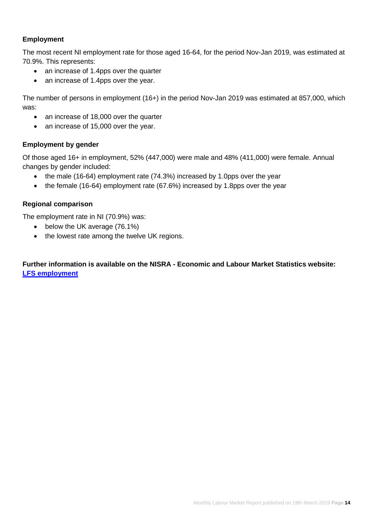### **Employment**

The most recent NI employment rate for those aged 16-64, for the period Nov-Jan 2019, was estimated at 70.9%. This represents:

- an increase of 1.4pps over the quarter
- an increase of 1.4pps over the year.

The number of persons in employment (16+) in the period Nov-Jan 2019 was estimated at 857,000, which was:

- an increase of 18,000 over the quarter
- an increase of 15,000 over the year.

### **Employment by gender**

Of those aged 16+ in employment, 52% (447,000) were male and 48% (411,000) were female. Annual changes by gender included:

- the male (16-64) employment rate (74.3%) increased by 1.0pps over the year
- the female (16-64) employment rate (67.6%) increased by 1.8pps over the year

### **Regional comparison**

The employment rate in NI (70.9%) was:

- below the UK average (76.1%)
- the lowest rate among the twelve UK regions.

## **Further information is available on the NISRA - Economic and Labour Market Statistics website: [LFS employment](https://www.nisra.gov.uk/statistics/labour-market-and-social-welfare/labour-force-survey)**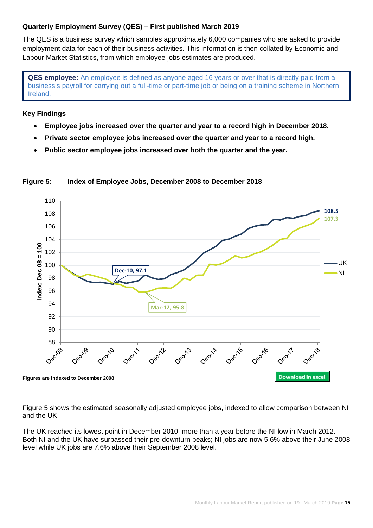#### **Quarterly Employment Survey (QES) – First published March 2019**

The QES is a business survey which samples approximately 6,000 companies who are asked to provide employment data for each of their business activities. This information is then collated by Economic and Labour Market Statistics, from which employee jobs estimates are produced.

**QES employee:** An employee is defined as anyone aged 16 years or over that is directly paid from a business's payroll for carrying out a full-time or part-time job or being on a training scheme in Northern Ireland.

#### **Key Findings**

- **Employee jobs increased over the quarter and year to a record high in December 2018.**
- **Private sector employee jobs increased over the quarter and year to a record high.**
- **Public sector employee jobs increased over both the quarter and the year.**



### **Figure 5: Index of Employee Jobs, December 2008 to December 2018**

Figure 5 shows the estimated seasonally adjusted employee jobs, indexed to allow comparison between NI and the UK.

The UK reached its lowest point in December 2010, more than a year before the NI low in March 2012. Both NI and the UK have surpassed their pre-downturn peaks; NI jobs are now 5.6% above their June 2008 level while UK jobs are 7.6% above their September 2008 level.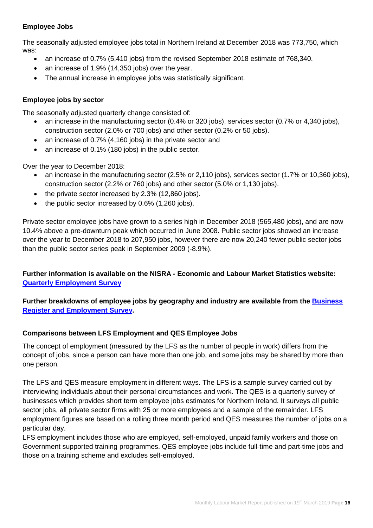# **Employee Jobs**

The seasonally adjusted employee jobs total in Northern Ireland at December 2018 was 773,750, which was:

- an increase of 0.7% (5,410 jobs) from the revised September 2018 estimate of 768,340.
- an increase of 1.9% (14.350 jobs) over the year.
- The annual increase in employee jobs was statistically significant.

# **Employee jobs by sector**

The seasonally adjusted quarterly change consisted of:

- an increase in the manufacturing sector (0.4% or 320 jobs), services sector (0.7% or 4,340 jobs), construction sector (2.0% or 700 jobs) and other sector (0.2% or 50 jobs).
- an increase of 0.7% (4,160 jobs) in the private sector and
- an increase of 0.1% (180 jobs) in the public sector.

Over the year to December 2018:

- an increase in the manufacturing sector (2.5% or 2,110 jobs), services sector (1.7% or 10,360 jobs), construction sector (2.2% or 760 jobs) and other sector (5.0% or 1,130 jobs).
- the private sector increased by 2.3% (12,860 jobs).
- the public sector increased by 0.6% (1,260 jobs).

Private sector employee jobs have grown to a series high in December 2018 (565,480 jobs), and are now 10.4% above a pre-downturn peak which occurred in June 2008. Public sector jobs showed an increase over the year to December 2018 to 207,950 jobs, however there are now 20,240 fewer public sector jobs than the public sector series peak in September 2009 (-8.9%).

# **Further information is available on the NISRA - Economic and Labour Market Statistics website: [Quarterly Employment Survey](https://www.nisra.gov.uk/statistics/labour-market-and-social-welfare/quarterly-employment-survey)**

# **Further breakdowns of employee jobs by geography and industry are available from the [Business](https://www.nisra.gov.uk/statistics/annual-employee-jobs-surveys/business-register-and-employment-survey)  [Register and Employment Survey.](https://www.nisra.gov.uk/statistics/annual-employee-jobs-surveys/business-register-and-employment-survey)**

# **Comparisons between LFS Employment and QES Employee Jobs**

The concept of employment (measured by the LFS as the number of people in work) differs from the concept of jobs, since a person can have more than one job, and some jobs may be shared by more than one person.

The LFS and QES measure employment in different ways. The LFS is a sample survey carried out by interviewing individuals about their personal circumstances and work. The QES is a quarterly survey of businesses which provides short term employee jobs estimates for Northern Ireland. It surveys all public sector jobs, all private sector firms with 25 or more employees and a sample of the remainder. LFS employment figures are based on a rolling three month period and QES measures the number of jobs on a particular day.

LFS employment includes those who are employed, self-employed, unpaid family workers and those on Government supported training programmes. QES employee jobs include full-time and part-time jobs and those on a training scheme and excludes self-employed.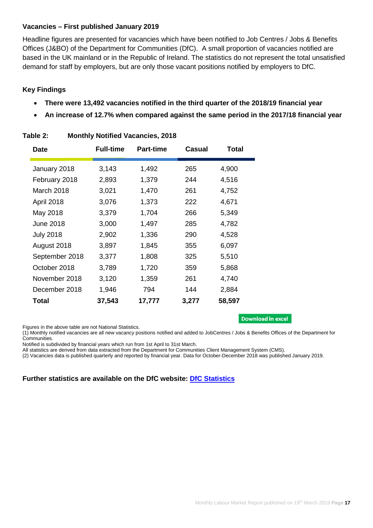#### **Vacancies – First published January 2019**

Headline figures are presented for vacancies which have been notified to Job Centres / Jobs & Benefits Offices (J&BO) of the Department for Communities (DfC). A small proportion of vacancies notified are based in the UK mainland or in the Republic of Ireland. The statistics do not represent the total unsatisfied demand for staff by employers, but are only those vacant positions notified by employers to DfC.

# **Key Findings**

- **There were 13,492 vacancies notified in the third quarter of the 2018/19 financial year**
- **An increase of 12.7% when compared against the same period in the 2017/18 financial year**

| Date             | <b>Full-time</b> | <b>Part-time</b> | Casual | Total  |
|------------------|------------------|------------------|--------|--------|
| January 2018     | 3,143            | 1,492            | 265    | 4,900  |
| February 2018    | 2,893            | 1,379            | 244    | 4,516  |
| March 2018       | 3,021            | 1,470            | 261    | 4,752  |
| April 2018       | 3,076            | 1,373            | 222    | 4,671  |
| May 2018         | 3,379            | 1,704            | 266    | 5,349  |
| June 2018        | 3,000            | 1,497            | 285    | 4,782  |
| <b>July 2018</b> | 2,902            | 1,336            | 290    | 4,528  |
| August 2018      | 3,897            | 1,845            | 355    | 6,097  |
| September 2018   | 3,377            | 1,808            | 325    | 5,510  |
| October 2018     | 3,789            | 1,720            | 359    | 5,868  |
| November 2018    | 3,120            | 1,359            | 261    | 4,740  |
| December 2018    | 1,946            | 794              | 144    | 2,884  |
| Total            | 37,543           | 17,777           | 3,277  | 58,597 |

### **Table 2: Monthly Notified Vacancies, 2018**

Figures in the above table are not National Statistics.

#### **Download in excel**

(1) Monthly notified vacancies are all new vacancy positions notified and added to JobCentres / Jobs & Benefits Offices of the Department for Communities.

Notified is subdivided by financial years which run from 1st April to 31st March.

All statistics are derived from data extracted from the Department for Communities Client Management System (CMS).

(2) Vacancies data is published quarterly and reported by financial year. Data for October-December 2018 was published January 2019.

# **Further statistics are available on the DfC website: [DfC Statistics](https://www.communities-ni.gov.uk/topics/dfc-statistics-and-research)**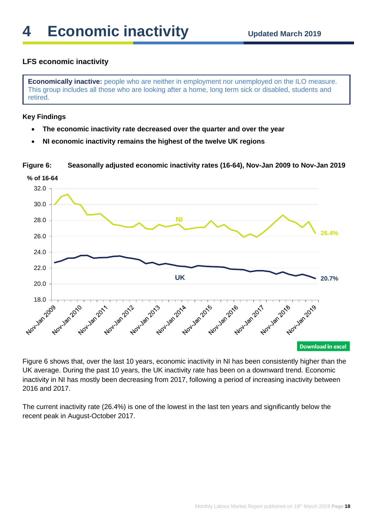# **LFS economic inactivity**

**Economically inactive:** people who are neither in employment nor unemployed on the ILO measure. This group includes all those who are looking after a home, long term sick or disabled, students and retired.

#### **Key Findings**

- **The economic inactivity rate decreased over the quarter and over the year**
- **NI economic inactivity remains the highest of the twelve UK regions**

**Figure 6: Seasonally adjusted economic inactivity rates (16-64), Nov-Jan 2009 to Nov-Jan 2019**



Figure 6 shows that, over the last 10 years, economic inactivity in NI has been consistently higher than the UK average. During the past 10 years, the UK inactivity rate has been on a downward trend. Economic inactivity in NI has mostly been decreasing from 2017, following a period of increasing inactivity between 2016 and 2017.

The current inactivity rate (26.4%) is one of the lowest in the last ten years and significantly below the recent peak in August-October 2017.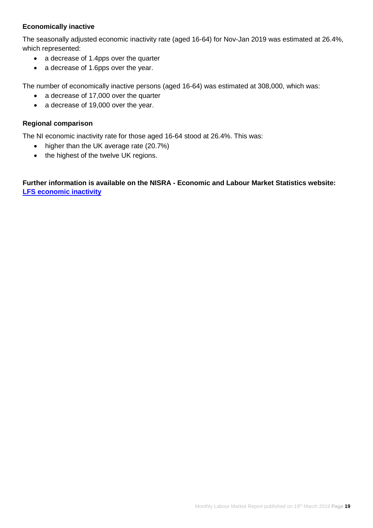# **Economically inactive**

The seasonally adjusted economic inactivity rate (aged 16-64) for Nov-Jan 2019 was estimated at 26.4%, which represented:

- a decrease of 1.4pps over the quarter
- a decrease of 1.6pps over the year.

The number of economically inactive persons (aged 16-64) was estimated at 308,000, which was:

- a decrease of 17,000 over the quarter
- a decrease of 19,000 over the year.

#### **Regional comparison**

The NI economic inactivity rate for those aged 16-64 stood at 26.4%. This was:

- higher than the UK average rate (20.7%)
- the highest of the twelve UK regions.

**Further information is available on the NISRA - Economic and Labour Market Statistics website: [LFS economic inactivity](https://www.nisra.gov.uk/statistics/labour-market-and-social-welfare/labour-force-survey)**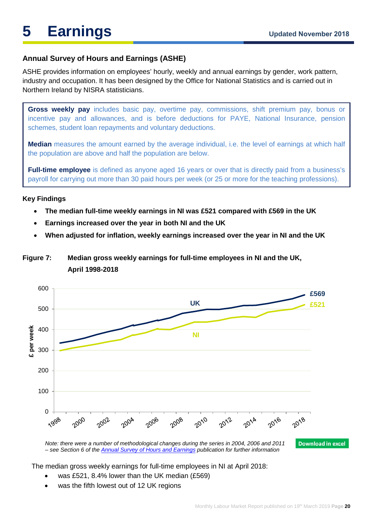# **Annual Survey of Hours and Earnings (ASHE)**

ASHE provides information on employees' hourly, weekly and annual earnings by gender, work pattern, industry and occupation. It has been designed by the Office for National Statistics and is carried out in Northern Ireland by NISRA statisticians.

**Gross weekly pay** includes basic pay, overtime pay, commissions, shift premium pay, bonus or incentive pay and allowances, and is before deductions for PAYE, National Insurance, pension schemes, student loan repayments and voluntary deductions.

**Median** measures the amount earned by the average individual, i.e. the level of earnings at which half the population are above and half the population are below.

**Full-time employee** is defined as anyone aged 16 years or over that is directly paid from a business's payroll for carrying out more than 30 paid hours per week (or 25 or more for the teaching professions).

#### **Key Findings**

- **The median full-time weekly earnings in NI was £521 compared with £569 in the UK**
- **Earnings increased over the year in both NI and the UK**
- **When adjusted for inflation, weekly earnings increased over the year in NI and the UK**

# **Figure 7: Median gross weekly earnings for full-time employees in NI and the UK, April 1998-2018**



The median gross weekly earnings for full-time employees in NI at April 2018:

- was £521, 8.4% lower than the UK median (£569)
- was the fifth lowest out of 12 UK regions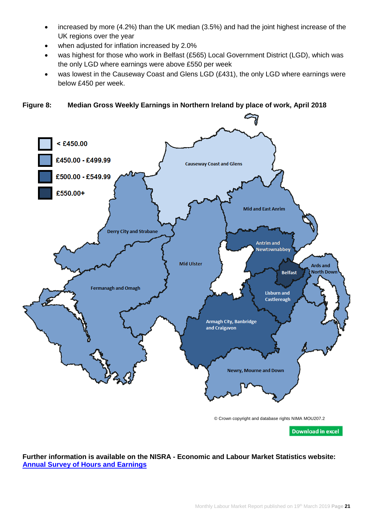- increased by more (4.2%) than the UK median (3.5%) and had the joint highest increase of the UK regions over the year
- when adjusted for inflation increased by 2.0%
- was highest for those who work in Belfast (£565) Local Government District (LGD), which was the only LGD where earnings were above £550 per week
- was lowest in the Causeway Coast and Glens LGD (£431), the only LGD where earnings were below £450 per week.

 $<$  £450.00 £450.00 - £499.99 **Causeway Coast and Glens** £500.00 - £549.99 £550.00+ **Mid and East Anrim Derry City and Strabane Antrim** and Newtownabbey **Mid Ulster Ards and North Down Belfast Fermanagh and Omagh Lisburn and** Castlereagh **Armagh City, Banbridge** and Craigavon Newry, Mourne and Down © Crown copyright and database rights NIMA MOU207.2

# **Figure 8: Median Gross Weekly Earnings in Northern Ireland by place of work, April 2018**

**Download in excel** 

#### **Further information is available on the NISRA - Economic and Labour Market Statistics website: [Annual Survey of Hours and Earnings](https://www.nisra.gov.uk/statistics/labour-market-and-social-welfare/annual-survey-hours-and-earnings)**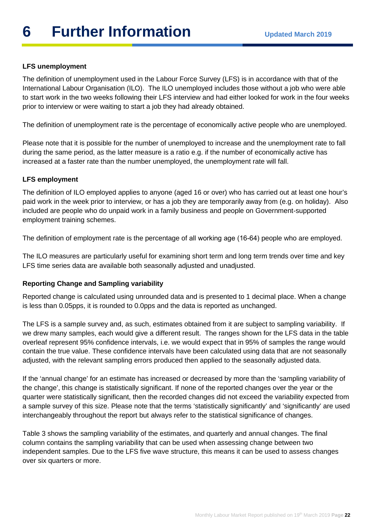# **LFS unemployment**

The definition of unemployment used in the Labour Force Survey (LFS) is in accordance with that of the International Labour Organisation (ILO). The ILO unemployed includes those without a job who were able to start work in the two weeks following their LFS interview and had either looked for work in the four weeks prior to interview or were waiting to start a job they had already obtained.

The definition of unemployment rate is the percentage of economically active people who are unemployed.

Please note that it is possible for the number of unemployed to increase and the unemployment rate to fall during the same period, as the latter measure is a ratio e.g. if the number of economically active has increased at a faster rate than the number unemployed, the unemployment rate will fall.

# **LFS employment**

The definition of ILO employed applies to anyone (aged 16 or over) who has carried out at least one hour's paid work in the week prior to interview, or has a job they are temporarily away from (e.g. on holiday). Also included are people who do unpaid work in a family business and people on Government-supported employment training schemes.

The definition of employment rate is the percentage of all working age (16-64) people who are employed.

The ILO measures are particularly useful for examining short term and long term trends over time and key LFS time series data are available both seasonally adjusted and unadjusted.

# **Reporting Change and Sampling variability**

Reported change is calculated using unrounded data and is presented to 1 decimal place. When a change is less than 0.05pps, it is rounded to 0.0pps and the data is reported as unchanged.

The LFS is a sample survey and, as such, estimates obtained from it are subject to sampling variability. If we drew many samples, each would give a different result. The ranges shown for the LFS data in the table overleaf represent 95% confidence intervals, i.e. we would expect that in 95% of samples the range would contain the true value. These confidence intervals have been calculated using data that are not seasonally adjusted, with the relevant sampling errors produced then applied to the seasonally adjusted data.

If the 'annual change' for an estimate has increased or decreased by more than the 'sampling variability of the change', this change is statistically significant. If none of the reported changes over the year or the quarter were statistically significant, then the recorded changes did not exceed the variability expected from a sample survey of this size. Please note that the terms 'statistically significantly' and 'significantly' are used interchangeably throughout the report but always refer to the statistical significance of changes.

Table 3 shows the sampling variability of the estimates, and quarterly and annual changes. The final column contains the sampling variability that can be used when assessing change between two independent samples. Due to the LFS five wave structure, this means it can be used to assess changes over six quarters or more.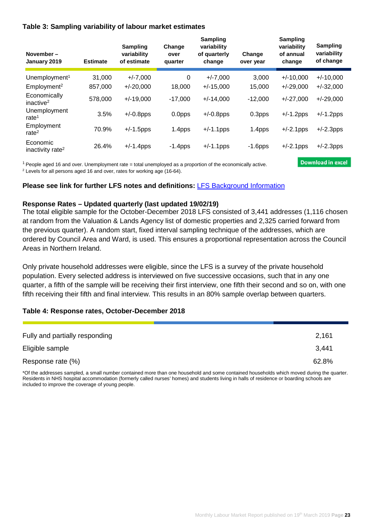#### **Table 3: Sampling variability of labour market estimates**

| November-<br>January 2019                | <b>Estimate</b> | <b>Sampling</b><br>variability<br>of estimate | Change<br>over<br>quarter | <b>Sampling</b><br>variability<br>of quarterly<br>change | Change<br>over year | <b>Sampling</b><br>variability<br>of annual<br>change | Sampling<br>variability<br>of change |
|------------------------------------------|-----------------|-----------------------------------------------|---------------------------|----------------------------------------------------------|---------------------|-------------------------------------------------------|--------------------------------------|
| Unemployment <sup>1</sup>                | 31.000          | $+/-7.000$                                    | 0                         | $+/-7,000$                                               | 3,000               | $+/-10,000$                                           | $+/-10,000$                          |
| Employment <sup>2</sup>                  | 857,000         | $+/-20,000$                                   | 18,000                    | $+/-15,000$                                              | 15,000              | $+/-29,000$                                           | $+/-32,000$                          |
| Economically<br>inactive <sup>2</sup>    | 578,000         | $+/-19,000$                                   | $-17,000$                 | $+/-14,000$                                              | $-12,000$           | $+/-27,000$                                           | $+/-29,000$                          |
| Unemployment<br>rate $1$                 | 3.5%            | $+/-0.8$ pps                                  | 0.0 <sub>pps</sub>        | $+/-0.8$ pps                                             | 0.3 <sub>pps</sub>  | $+/-1.2$ pps                                          | $+/-1.2$ pps                         |
| Employment<br>rate $2$                   | 70.9%           | $+/-1.5$ pps                                  | 1.4pps                    | $+/-1.1$ pps                                             | 1.4pps              | $+/-2.1$ pps                                          | $+/-2.3$ pps                         |
| Economic<br>inactivity rate <sup>2</sup> | 26.4%           | $+/-1.4$ pps                                  | $-1.4$ pps                | $+/-1.1$ pps                                             | $-1.6$ pps          | $+/-2.1$ pps                                          | $+/-2.3$ pps                         |

1 People aged 16 and over. Unemployment rate = total unemployed as a proportion of the economically active.

<sup>2</sup> Levels for all persons aged 16 and over, rates for working age (16-64).

#### **Please see link for further LFS notes and definitions:** [LFS Background Information](https://www.nisra.gov.uk/publications/labour-force-survey-background-information)

#### **Response Rates – Updated quarterly (last updated 19/02/19)**

The total eligible sample for the October-December 2018 LFS consisted of 3,441 addresses (1,116 chosen at random from the Valuation & Lands Agency list of domestic properties and 2,325 carried forward from the previous quarter). A random start, fixed interval sampling technique of the addresses, which are ordered by Council Area and Ward, is used. This ensures a proportional representation across the Council Areas in Northern Ireland.

Only private household addresses were eligible, since the LFS is a survey of the private household population. Every selected address is interviewed on five successive occasions, such that in any one quarter, a fifth of the sample will be receiving their first interview, one fifth their second and so on, with one fifth receiving their fifth and final interview. This results in an 80% sample overlap between quarters.

#### **Table 4: Response rates, October-December 2018**

| Fully and partially responding | 2,161 |
|--------------------------------|-------|
| Eligible sample                | 3,441 |
| Response rate (%)              | 62.8% |

\*Of the addresses sampled, a small number contained more than one household and some contained households which moved during the quarter. Residents in NHS hospital accommodation (formerly called nurses' homes) and students living in halls of residence or boarding schools are included to improve the coverage of young people.

**Download in excel**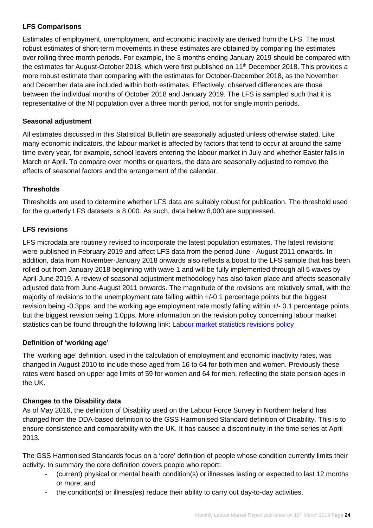# **LFS Comparisons**

Estimates of employment, unemployment, and economic inactivity are derived from the LFS. The most robust estimates of short-term movements in these estimates are obtained by comparing the estimates over rolling three month periods. For example, the 3 months ending January 2019 should be compared with the estimates for August-October 2018, which were first published on 11<sup>th</sup> December 2018. This provides a more robust estimate than comparing with the estimates for October-December 2018, as the November and December data are included within both estimates. Effectively, observed differences are those between the individual months of October 2018 and January 2019. The LFS is sampled such that it is representative of the NI population over a three month period, not for single month periods.

# **Seasonal adjustment**

All estimates discussed in this Statistical Bulletin are seasonally adjusted unless otherwise stated. Like many economic indicators, the labour market is affected by factors that tend to occur at around the same time every year, for example, school leavers entering the labour market in July and whether Easter falls in March or April. To compare over months or quarters, the data are seasonally adjusted to remove the effects of seasonal factors and the arrangement of the calendar.

# **Thresholds**

Thresholds are used to determine whether LFS data are suitably robust for publication. The threshold used for the quarterly LFS datasets is 8,000. As such, data below 8,000 are suppressed.

### **LFS revisions**

LFS microdata are routinely revised to incorporate the latest population estimates. The latest revisions were published in February 2019 and affect LFS data from the period June - August 2011 onwards. In addition, data from November-January 2018 onwards also reflects a boost to the LFS sample that has been rolled out from January 2018 beginning with wave 1 and will be fully implemented through all 5 waves by April-June 2019. A review of seasonal adjustment methodology has also taken place and affects seasonally adjusted data from June-August 2011 onwards. The magnitude of the revisions are relatively small, with the majority of revisions to the unemployment rate falling within +/-0.1 percentage points but the biggest revision being -0.3pps; and the working age employment rate mostly falling within +/- 0.1 percentage points but the biggest revision being 1.0pps. More information on the revision policy concerning labour market statistics can be found through the following link: **Labour market statistics revisions policy** 

#### **Definition of 'working age'**

The 'working age' definition, used in the calculation of employment and economic inactivity rates, was changed in August 2010 to include those aged from 16 to 64 for both men and women. Previously these rates were based on upper age limits of 59 for women and 64 for men, reflecting the state pension ages in the UK.

# **Changes to the Disability data**

As of May 2016, the definition of Disability used on the Labour Force Survey in Northern Ireland has changed from the DDA-based definition to the GSS Harmonised Standard definition of Disability. This is to ensure consistence and comparability with the UK. It has caused a discontinuity in the time series at April 2013.

The GSS Harmonised Standards focus on a 'core' definition of people whose condition currently limits their activity. In summary the core definition covers people who report:

- (current) physical or mental health condition(s) or illnesses lasting or expected to last 12 months or more; and
- the condition(s) or illness(es) reduce their ability to carry out day-to-day activities.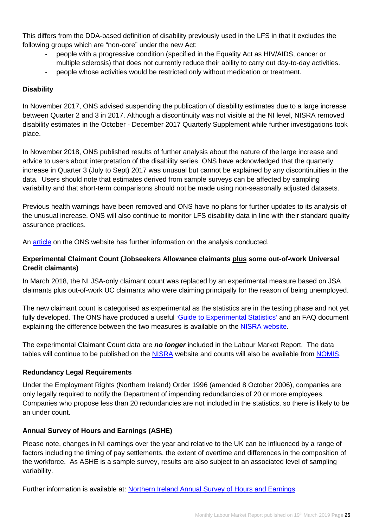This differs from the DDA-based definition of disability previously used in the LFS in that it excludes the following groups which are "non-core" under the new Act:

- people with a progressive condition (specified in the Equality Act as HIV/AIDS, cancer or multiple sclerosis) that does not currently reduce their ability to carry out day-to-day activities.
- people whose activities would be restricted only without medication or treatment.

# **Disability**

In November 2017, ONS advised suspending the publication of disability estimates due to a large increase between Quarter 2 and 3 in 2017. Although a discontinuity was not visible at the NI level, NISRA removed disability estimates in the October - December 2017 Quarterly Supplement while further investigations took place.

In November 2018, ONS published results of further analysis about the nature of the large increase and advice to users about interpretation of the disability series. ONS have acknowledged that the quarterly increase in Quarter 3 (July to Sept) 2017 was unusual but cannot be explained by any discontinuities in the data. Users should note that estimates derived from sample surveys can be affected by sampling variability and that short-term comparisons should not be made using non-seasonally adjusted datasets.

Previous health warnings have been removed and ONS have no plans for further updates to its analysis of the unusual increase. ONS will also continue to monitor LFS disability data in line with their standard quality assurance practices.

An [article](https://www.ons.gov.uk/employmentandlabourmarket/peopleinwork/employmentandemployeetypes/methodologies/analysisofthelargeincreaseinthelabourforcesurveydisabilitydataapriltojune2017tojulytoseptember2017andtheperiodsafterthisincrease) on the ONS website has further information on the analysis conducted.

### **Experimental Claimant Count (Jobseekers Allowance claimants plus some out-of-work Universal Credit claimants)**

In March 2018, the NI JSA-only claimant count was replaced by an experimental measure based on JSA claimants plus out-of-work UC claimants who were claiming principally for the reason of being unemployed.

The new claimant count is categorised as experimental as the statistics are in the testing phase and not yet fully developed. The ONS have produced a useful ['Guide to Experimental Statistics'](https://www.ons.gov.uk/methodology/methodologytopicsandstatisticalconcepts/guidetoexperimentalstatistics) and an FAQ document explaining the difference between the two measures is available on the [NISRA website.](https://www.nisra.gov.uk/news/changes-claimant-count)

The experimental Claimant Count data are *no longer* included in the Labour Market Report. The data tables will continue to be published on the [NISRA](https://www.nisra.gov.uk/statistics/labour-market-and-social-welfare/claimant-count) website and counts will also be available from [NOMIS.](https://www.nomisweb.co.uk/)

#### **Redundancy Legal Requirements**

Under the Employment Rights (Northern Ireland) Order 1996 (amended 8 October 2006), companies are only legally required to notify the Department of impending redundancies of 20 or more employees. Companies who propose less than 20 redundancies are not included in the statistics, so there is likely to be an under count.

# **Annual Survey of Hours and Earnings (ASHE)**

Please note, changes in NI earnings over the year and relative to the UK can be influenced by a range of factors including the timing of pay settlements, the extent of overtime and differences in the composition of the workforce. As ASHE is a sample survey, results are also subject to an associated level of sampling variability.

Further information is available at: [Northern Ireland Annual Survey of Hours and Earnings](https://www.nisra.gov.uk/statistics/labour-market-and-social-welfare/annual-survey-hours-and-earnings)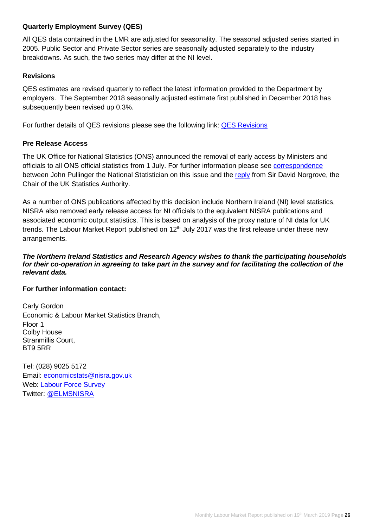#### **Quarterly Employment Survey (QES)**

All QES data contained in the LMR are adjusted for seasonality. The seasonal adjusted series started in 2005. Public Sector and Private Sector series are seasonally adjusted separately to the industry breakdowns. As such, the two series may differ at the NI level.

### **Revisions**

QES estimates are revised quarterly to reflect the latest information provided to the Department by employers. The September 2018 seasonally adjusted estimate first published in December 2018 has subsequently been revised up 0.3%.

For further details of QES revisions please see the following link: [QES Revisions](https://www.nisra.gov.uk/publications/quarterly-employment-survey-revisions)

#### **Pre Release Access**

The UK Office for National Statistics (ONS) announced the removal of early access by Ministers and officials to all ONS official statistics from 1 July. For further information please see [correspondence](https://www.statisticsauthority.gov.uk/wp-content/uploads/2017/07/Letter-from-John-Pullinger-to-Sir-David-Norgrove-15-June-2017.pdf) between John Pullinger the National Statistician on this issue and the [reply](https://www.statisticsauthority.gov.uk/wp-content/uploads/2017/08/Letter-from-Sir-David-Norgrove-to-John-Pullinger-15-June-2017.pdf) from Sir David Norgrove, the Chair of the UK Statistics Authority.

As a number of ONS publications affected by this decision include Northern Ireland (NI) level statistics, NISRA also removed early release access for NI officials to the equivalent NISRA publications and associated economic output statistics. This is based on analysis of the proxy nature of NI data for UK trends. The Labour Market Report published on  $12<sup>th</sup>$  July 2017 was the first release under these new arrangements.

#### *The Northern Ireland Statistics and Research Agency wishes to thank the participating households for their co-operation in agreeing to take part in the survey and for facilitating the collection of the relevant data.*

#### **For further information contact:**

Carly Gordon Economic & Labour Market Statistics Branch, Floor 1 Colby House Stranmillis Court, BT9 5RR

Tel: (028) 9025 5172 Email: [economicstats@nisra.gov.uk](mailto:economicstats@nisra.gov.uk) Web: [Labour Force](https://www.nisra.gov.uk/statistics/labour-market-and-social-welfare/labour-force-survey) Survey Twitter: [@ELMSNISRA](https://twitter.com/ELMSNISRA)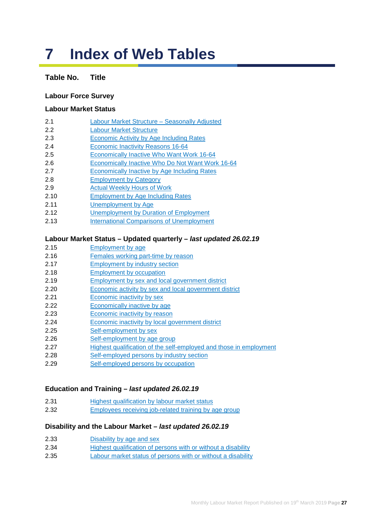# **7 Index of Web Tables**

# **Table No. Title**

#### **Labour Force Survey**

#### **Labour Market Status**

- 2.1 [Labour Market Structure –](https://www.nisra.gov.uk/publications/labour-force-survey-tables-march-2019) Seasonally Adjusted
- 2.2 [Labour Market Structure](https://www.nisra.gov.uk/publications/labour-force-survey-tables-march-2019)
- 2.3 [Economic Activity by Age](https://www.nisra.gov.uk/publications/labour-force-survey-tables-march-2019) Including Rates
- 2.4 [Economic Inactivity Reasons 16-64](https://www.nisra.gov.uk/publications/labour-force-survey-tables-march-2019)
- 2.5 [Economically Inactive Who Want Work](https://www.nisra.gov.uk/publications/labour-force-survey-tables-march-2019) 16-64
- 2.6 [Economically Inactive Who Do Not Want Work](https://www.nisra.gov.uk/publications/labour-force-survey-tables-march-2019) 16-64
- 2.7 [Economically Inactive by Age](https://www.nisra.gov.uk/publications/labour-force-survey-tables-march-2019) Including Rates
- 2.8 [Employment by Category](https://www.nisra.gov.uk/publications/labour-force-survey-tables-march-2019)
- 2.9 [Actual Weekly Hours of Work](https://www.nisra.gov.uk/publications/labour-force-survey-tables-march-2019)
- 2.10 [Employment by Age](https://www.nisra.gov.uk/publications/labour-force-survey-tables-march-2019) Including Rates
- 2.11 [Unemployment](https://www.nisra.gov.uk/publications/labour-force-survey-tables-march-2019) by Age
- 2.12 [Unemployment by Duration](https://www.nisra.gov.uk/publications/labour-force-survey-tables-march-2019) of Employment
- 2.13 [International Comparisons of Unemployment](https://www.nisra.gov.uk/publications/labour-force-survey-tables-march-2019)

#### **Labour Market Status – Updated quarterly –** *last updated 26.02.19*

- 2.15 [Employment by age](https://www.nisra.gov.uk/publications/quarterly-labour-force-survey-tables-february-2019)
- 2.16 [Females working part-time by reason](https://www.nisra.gov.uk/publications/quarterly-labour-force-survey-tables-february-2019)
- 2.17 [Employment by industry section](https://www.nisra.gov.uk/publications/quarterly-labour-force-survey-tables-february-2019)
- 2.18 [Employment by occupation](https://www.nisra.gov.uk/publications/quarterly-labour-force-survey-tables-february-2019)
- 2.19 [Employment by sex and local government district](https://www.nisra.gov.uk/publications/quarterly-labour-force-survey-tables-february-2019)
- 2.20 [Economic activity by sex and local government district](https://www.nisra.gov.uk/publications/quarterly-labour-force-survey-tables-february-2019)
- 2.21 [Economic inactivity by sex](https://www.nisra.gov.uk/publications/quarterly-labour-force-survey-tables-february-2019)
- 2.22 [Economically inactive](https://www.nisra.gov.uk/publications/quarterly-labour-force-survey-tables-february-2019) by age
- 2.23 [Economic inactivity](https://www.nisra.gov.uk/publications/quarterly-labour-force-survey-tables-february-2019) by reason
- 2.24 [Economic inactivity by local government district](https://www.nisra.gov.uk/publications/quarterly-labour-force-survey-tables-february-2019)
- 2.25 [Self-employment by sex](https://www.nisra.gov.uk/publications/quarterly-labour-force-survey-tables-february-2019)
- 2.26 [Self-employment by age group](https://www.nisra.gov.uk/publications/quarterly-labour-force-survey-tables-february-2019)
- 2.27 [Highest qualification of the self-employed and those in employment](https://www.nisra.gov.uk/publications/quarterly-labour-force-survey-tables-february-2019)
- 2.28 [Self-employed persons by industry section](https://www.nisra.gov.uk/publications/quarterly-labour-force-survey-tables-february-2019)
- 2.29 [Self-employed persons by occupation](https://www.nisra.gov.uk/publications/quarterly-labour-force-survey-tables-february-2019)

#### **Education and Training –** *last updated 26.02.19*

- 2.31 [Highest qualification by labour market status](https://www.nisra.gov.uk/publications/quarterly-labour-force-survey-tables-february-2019)
- 2.32 [Employees receiving job-related training by age group](https://www.nisra.gov.uk/publications/quarterly-labour-force-survey-tables-february-2019)

#### **Disability and the Labour Market –** *last updated 26.02.19*

- 2.33 [Disability by age and sex](https://www.nisra.gov.uk/publications/quarterly-labour-force-survey-tables-February-2019)
- 2.34 [Highest qualification of persons with or without a disability](https://www.nisra.gov.uk/publications/quarterly-labour-force-survey-tables-February-2019)
- 2.35 [Labour market status of persons with or without a disability](https://www.nisra.gov.uk/publications/quarterly-labour-force-survey-tables-February-2019)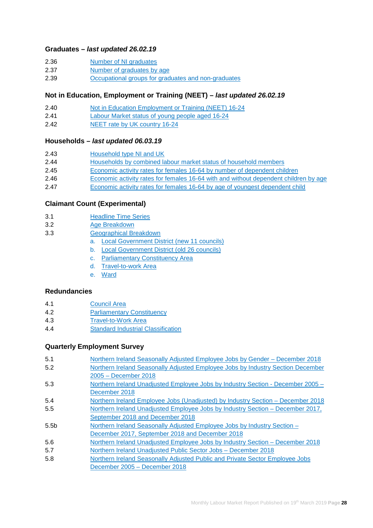#### **Graduates –** *last updated 26.02.19*

- 2.36 [Number of NI graduates](https://www.nisra.gov.uk/publications/quarterly-labour-force-survey-tables-February-2019)
- 2.37 [Number of graduates by age](https://www.nisra.gov.uk/publications/quarterly-labour-force-survey-tables-February-2019)
- 2.39 [Occupational groups for graduates and non-graduates](https://www.nisra.gov.uk/publications/quarterly-labour-force-survey-tables-February-2019)

#### **Not in Education, Employment or Training (NEET) –** *last updated 26.02.19*

- 2.40 Not in Education [Employment or Training \(NEET\) 16-24](https://www.nisra.gov.uk/publications/quarterly-labour-force-survey-tables-february-2019)
- 2.41 [Labour Market status of young people aged 16-24](https://www.nisra.gov.uk/publications/quarterly-labour-force-survey-tables-february-2019)
- 2.42 [NEET rate by UK country](https://www.nisra.gov.uk/publications/quarterly-labour-force-survey-tables-february-2019) 16-24

#### **Households –** *last updated 06.03.19*

| 2.43 | Household type NI and UK |
|------|--------------------------|
|      |                          |

- 2.44 [Households by combined labour market status of household members](https://www.nisra.gov.uk/publications/quarterly-labour-force-survey-tables-february-2019)
- 2.45 [Economic activity rates for females 16-64 by number of dependent children](https://www.nisra.gov.uk/publications/quarterly-labour-force-survey-tables-february-2019)
- 2.46 [Economic activity rates for females 16-64 with and without dependent children by age](https://www.nisra.gov.uk/publications/quarterly-labour-force-survey-tables-february-2019)
- 2.47 [Economic activity rates for females 16-64 by age of youngest dependent child](https://www.nisra.gov.uk/publications/quarterly-labour-force-survey-tables-february-2019)

#### **[Claimant Count \(Experimental\)](https://www.nisra.gov.uk/publications/claimant-count-tables)**

- 3.1 [Headline Time Series](https://www.nisra.gov.uk/publications/claimant-count-tables)
- 3.2 [Age Breakdown](https://www.nisra.gov.uk/publications/claimant-count-tables)
- 3.3 [Geographical Breakdown](https://www.nisra.gov.uk/publications/claimant-count-tables)
	- a. [Local Government District](https://www.nisra.gov.uk/publications/claimant-count-tables) (new 11 councils)
	- b. [Local Government District \(old 26](https://www.nisra.gov.uk/publications/claimant-count-tables) councils)
	- c. [Parliamentary Constituency Area](https://www.nisra.gov.uk/publications/claimant-count-tables)
	- [d. Travel-to-work Area](https://www.nisra.gov.uk/publications/claimant-count-tables)
	- e. [Ward](https://www.nisra.gov.uk/publications/claimant-count-tables)

#### **[Redundancies](https://www.nisra.gov.uk/publications/redundancy-tables)**

- 4.1 [Council Area](https://www.nisra.gov.uk/publications/redundancy-tables)
- 4.2 [Parliamentary Constituency](https://www.nisra.gov.uk/publications/redundancy-tables)
- 4.3 [Travel-to-Work Area](https://www.nisra.gov.uk/publications/redundancy-tables)
- 4.4 [Standard Industrial Classification](https://www.nisra.gov.uk/publications/redundancy-tables)

#### **Quarterly Employment Survey**

| 5.1              | Northern Ireland Seasonally Adjusted Employee Jobs by Gender - December 2018    |
|------------------|---------------------------------------------------------------------------------|
| 5.2              | Northern Ireland Seasonally Adjusted Employee Jobs by Industry Section December |
|                  | 2005 - December 2018                                                            |
| 5.3              | Northern Ireland Unadjusted Employee Jobs by Industry Section - December 2005 - |
|                  | December 2018                                                                   |
| 5.4              | Northern Ireland Employee Jobs (Unadjusted) by Industry Section – December 2018 |
| 5.5              | Northern Ireland Unadjusted Employee Jobs by Industry Section - December 2017,  |
|                  | September 2018 and December 2018                                                |
| 5.5 <sub>b</sub> | Northern Ireland Seasonally Adjusted Employee Jobs by Industry Section -        |
|                  | December 2017, September 2018 and December 2018                                 |
| 5.6              | Northern Ireland Unadjusted Employee Jobs by Industry Section – December 2018   |
| 5.7              | Northern Ireland Unadjusted Public Sector Jobs - December 2018                  |
| 5.8              | Northern Ireland Seasonally Adjusted Public and Private Sector Employee Jobs    |
|                  | December 2005 - December 2018                                                   |